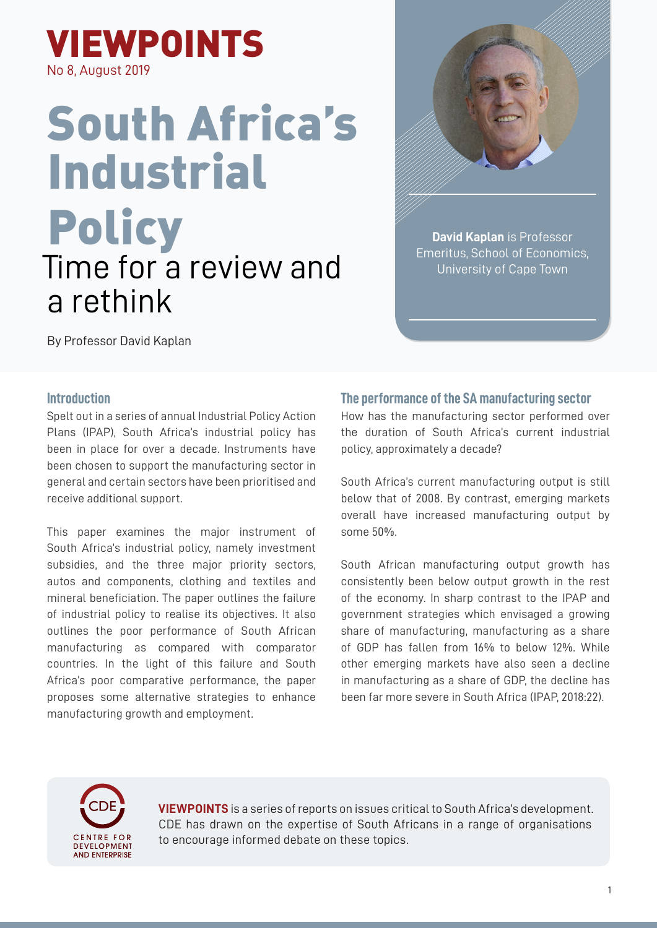

# South Africa's Industrial **Policy** Time for a review and a rethink



**David Kaplan** is Professor Emeritus, School of Economics, University of Cape Town

By Professor David Kaplan

## **Introduction**

Spelt out in a series of annual Industrial Policy Action Plans (IPAP), South Africa's industrial policy has been in place for over a decade. Instruments have been chosen to support the manufacturing sector in general and certain sectors have been prioritised and receive additional support.

This paper examines the major instrument of South Africa's industrial policy, namely investment subsidies, and the three major priority sectors, autos and components, clothing and textiles and mineral beneficiation. The paper outlines the failure of industrial policy to realise its objectives. It also outlines the poor performance of South African manufacturing as compared with comparator countries. In the light of this failure and South Africa's poor comparative performance, the paper proposes some alternative strategies to enhance manufacturing growth and employment.

## **The performance of the SA manufacturing sector**

How has the manufacturing sector performed over the duration of South Africa's current industrial policy, approximately a decade?

South Africa's current manufacturing output is still below that of 2008. By contrast, emerging markets overall have increased manufacturing output by some 50%.

South African manufacturing output growth has consistently been below output growth in the rest of the economy. In sharp contrast to the IPAP and government strategies which envisaged a growing share of manufacturing, manufacturing as a share of GDP has fallen from 16% to below 12%. While other emerging markets have also seen a decline in manufacturing as a share of GDP, the decline has been far more severe in South Africa (IPAP, 2018:22).



**VIEWPOINTS** is a series of reports on issues critical to South Africa's development. CDE has drawn on the expertise of South Africans in a range of organisations to encourage informed debate on these topics.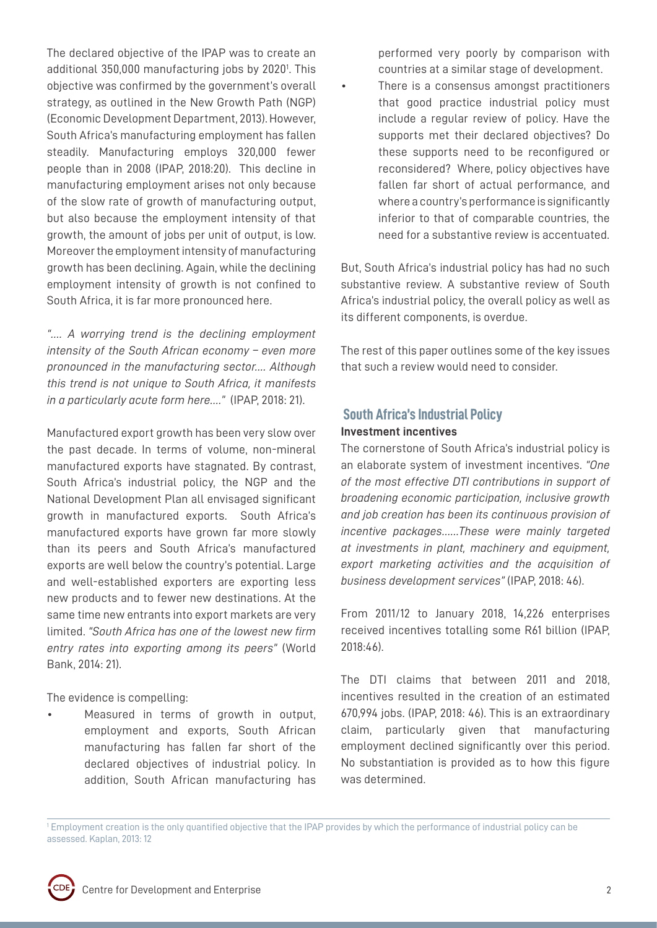The declared objective of the IPAP was to create an additional 350,000 manufacturing jobs by 2020<sup>1</sup>. This objective was confirmed by the government's overall strategy, as outlined in the New Growth Path (NGP) (Economic Development Department, 2013). However, South Africa's manufacturing employment has fallen steadily. Manufacturing employs 320,000 fewer people than in 2008 (IPAP, 2018:20). This decline in manufacturing employment arises not only because of the slow rate of growth of manufacturing output, but also because the employment intensity of that growth, the amount of jobs per unit of output, is low. Moreover the employment intensity of manufacturing growth has been declining. Again, while the declining employment intensity of growth is not confined to South Africa, it is far more pronounced here.

*"…. A worrying trend is the declining employment intensity of the South African economy – even more pronounced in the manufacturing sector.... Although this trend is not unique to South Africa, it manifests in a particularly acute form here…."* (IPAP, 2018: 21).

Manufactured export growth has been very slow over the past decade. In terms of volume, non-mineral manufactured exports have stagnated. By contrast, South Africa's industrial policy, the NGP and the National Development Plan all envisaged significant growth in manufactured exports. South Africa's manufactured exports have grown far more slowly than its peers and South Africa's manufactured exports are well below the country's potential. Large and well-established exporters are exporting less new products and to fewer new destinations. At the same time new entrants into export markets are very limited. *"South Africa has one of the lowest new firm entry rates into exporting among its peers"* (World Bank, 2014: 21).

The evidence is compelling:

• Measured in terms of growth in output, employment and exports, South African manufacturing has fallen far short of the declared objectives of industrial policy. In addition, South African manufacturing has

performed very poorly by comparison with countries at a similar stage of development.

• There is a consensus amongst practitioners that good practice industrial policy must include a regular review of policy. Have the supports met their declared objectives? Do these supports need to be reconfigured or reconsidered? Where, policy objectives have fallen far short of actual performance, and where a country's performance is significantly inferior to that of comparable countries, the need for a substantive review is accentuated.

But, South Africa's industrial policy has had no such substantive review. A substantive review of South Africa's industrial policy, the overall policy as well as its different components, is overdue.

The rest of this paper outlines some of the key issues that such a review would need to consider.

# **South Africa's Industrial Policy**

# **Investment incentives**

The cornerstone of South Africa's industrial policy is an elaborate system of investment incentives. *"One of the most effective DTI contributions in support of broadening economic participation, inclusive growth and job creation has been its continuous provision of incentive packages……These were mainly targeted at investments in plant, machinery and equipment, export marketing activities and the acquisition of business development services"* (IPAP, 2018: 46).

From 2011/12 to January 2018, 14,226 enterprises received incentives totalling some R61 billion (IPAP, 2018:46).

The DTI claims that between 2011 and 2018, incentives resulted in the creation of an estimated 670,994 jobs. (IPAP, 2018: 46). This is an extraordinary claim, particularly given that manufacturing employment declined significantly over this period. No substantiation is provided as to how this figure was determined.

1 Employment creation is the only quantified objective that the IPAP provides by which the performance of industrial policy can be assessed. Kaplan, 2013: 12

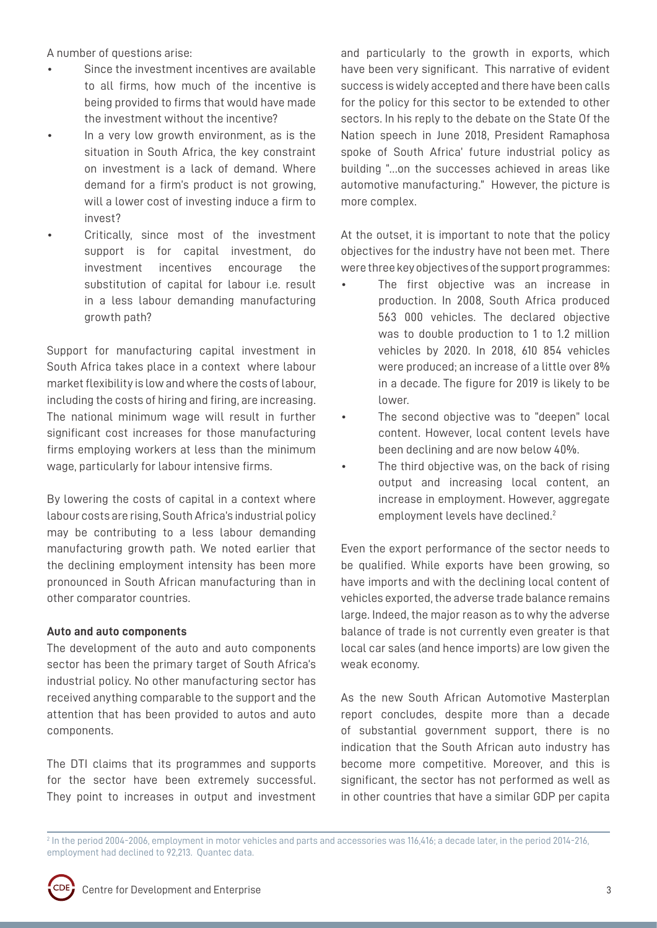A number of questions arise:

- Since the investment incentives are available to all firms, how much of the incentive is being provided to firms that would have made the investment without the incentive?
- In a very low growth environment, as is the situation in South Africa, the key constraint on investment is a lack of demand. Where demand for a firm's product is not growing, will a lower cost of investing induce a firm to invest?
	- Critically, since most of the investment support is for capital investment, do investment incentives encourage the substitution of capital for labour i.e. result in a less labour demanding manufacturing growth path?

Support for manufacturing capital investment in South Africa takes place in a context where labour market flexibility is low and where the costs of labour, including the costs of hiring and firing, are increasing. The national minimum wage will result in further significant cost increases for those manufacturing firms employing workers at less than the minimum wage, particularly for labour intensive firms.

By lowering the costs of capital in a context where labour costs are rising, South Africa's industrial policy may be contributing to a less labour demanding manufacturing growth path. We noted earlier that the declining employment intensity has been more pronounced in South African manufacturing than in other comparator countries.

## **Auto and auto components**

The development of the auto and auto components sector has been the primary target of South Africa's industrial policy. No other manufacturing sector has received anything comparable to the support and the attention that has been provided to autos and auto components.

The DTI claims that its programmes and supports for the sector have been extremely successful. They point to increases in output and investment and particularly to the growth in exports, which have been very significant. This narrative of evident success is widely accepted and there have been calls for the policy for this sector to be extended to other sectors. In his reply to the debate on the State Of the Nation speech in June 2018, President Ramaphosa spoke of South Africa' future industrial policy as building "…on the successes achieved in areas like automotive manufacturing." However, the picture is more complex.

At the outset, it is important to note that the policy objectives for the industry have not been met. There were three key objectives of the support programmes:

- The first objective was an increase in production. In 2008, South Africa produced 563 000 vehicles. The declared objective was to double production to 1 to 1.2 million vehicles by 2020. In 2018, 610 854 vehicles were produced; an increase of a little over 8% in a decade. The figure for 2019 is likely to be lower.
- The second objective was to "deepen" local content. However, local content levels have been declining and are now below 40%.
- The third objective was, on the back of rising output and increasing local content, an increase in employment. However, aggregate employment levels have declined.<sup>2</sup>

Even the export performance of the sector needs to be qualified. While exports have been growing, so have imports and with the declining local content of vehicles exported, the adverse trade balance remains large. Indeed, the major reason as to why the adverse balance of trade is not currently even greater is that local car sales (and hence imports) are low given the weak economy.

As the new South African Automotive Masterplan report concludes, despite more than a decade of substantial government support, there is no indication that the South African auto industry has become more competitive. Moreover, and this is significant, the sector has not performed as well as in other countries that have a similar GDP per capita

<sup>2</sup> In the period 2004-2006, employment in motor vehicles and parts and accessories was 116,416; a decade later, in the period 2014-216, employment had declined to 92,213. Quantec data.

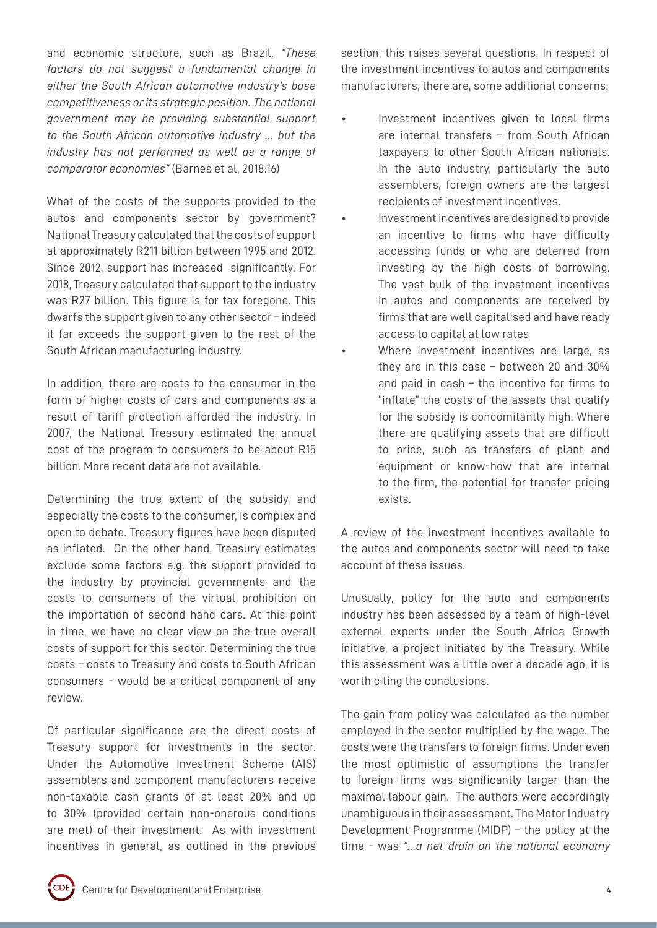and economic structure, such as Brazil. *"These factors do not suggest a fundamental change in either the South African automotive industry's base competitiveness or its strategic position. The national government may be providing substantial support to the South African automotive industry … but the industry has not performed as well as a range of comparator economies"* (Barnes et al, 2018:16)

What of the costs of the supports provided to the autos and components sector by government? National Treasury calculated that the costs of support at approximately R211 billion between 1995 and 2012. Since 2012, support has increased significantly. For 2018, Treasury calculated that support to the industry was R27 billion. This figure is for tax foregone. This dwarfs the support given to any other sector – indeed it far exceeds the support given to the rest of the South African manufacturing industry.

In addition, there are costs to the consumer in the form of higher costs of cars and components as a result of tariff protection afforded the industry. In 2007, the National Treasury estimated the annual cost of the program to consumers to be about R15 billion. More recent data are not available.

Determining the true extent of the subsidy, and especially the costs to the consumer, is complex and open to debate. Treasury figures have been disputed as inflated. On the other hand, Treasury estimates exclude some factors e.g. the support provided to the industry by provincial governments and the costs to consumers of the virtual prohibition on the importation of second hand cars. At this point in time, we have no clear view on the true overall costs of support for this sector. Determining the true costs – costs to Treasury and costs to South African consumers - would be a critical component of any review.

Of particular significance are the direct costs of Treasury support for investments in the sector. Under the Automotive Investment Scheme (AIS) assemblers and component manufacturers receive non-taxable cash grants of at least 20% and up to 30% (provided certain non-onerous conditions are met) of their investment. As with investment incentives in general, as outlined in the previous

section, this raises several questions. In respect of the investment incentives to autos and components manufacturers, there are, some additional concerns:

- Investment incentives given to local firms are internal transfers – from South African taxpayers to other South African nationals. In the auto industry, particularly the auto assemblers, foreign owners are the largest recipients of investment incentives.
- Investment incentives are designed to provide an incentive to firms who have difficulty accessing funds or who are deterred from investing by the high costs of borrowing. The vast bulk of the investment incentives in autos and components are received by firms that are well capitalised and have ready access to capital at low rates
- Where investment incentives are large, as they are in this case – between 20 and 30% and paid in cash – the incentive for firms to "inflate" the costs of the assets that qualify for the subsidy is concomitantly high. Where there are qualifying assets that are difficult to price, such as transfers of plant and equipment or know-how that are internal to the firm, the potential for transfer pricing exists.

A review of the investment incentives available to the autos and components sector will need to take account of these issues.

Unusually, policy for the auto and components industry has been assessed by a team of high-level external experts under the South Africa Growth Initiative, a project initiated by the Treasury. While this assessment was a little over a decade ago, it is worth citing the conclusions.

The gain from policy was calculated as the number employed in the sector multiplied by the wage. The costs were the transfers to foreign firms. Under even the most optimistic of assumptions the transfer to foreign firms was significantly larger than the maximal labour gain. The authors were accordingly unambiguous in their assessment. The Motor Industry Development Programme (MIDP) – the policy at the time - was *"…a net drain on the national economy* 

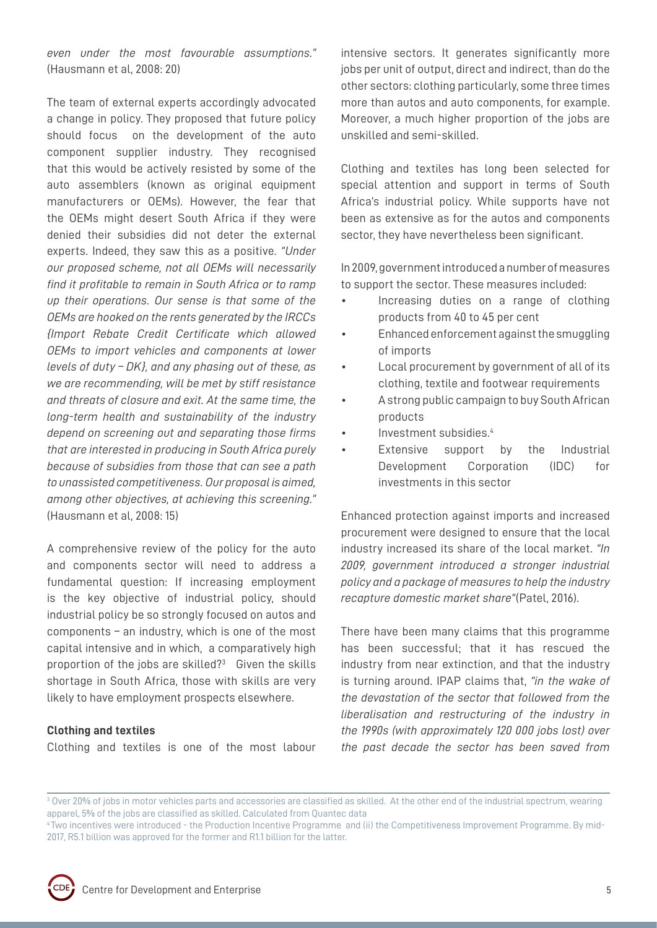*even under the most favourable assumptions."* (Hausmann et al, 2008: 20)

The team of external experts accordingly advocated a change in policy. They proposed that future policy should focus on the development of the auto component supplier industry. They recognised that this would be actively resisted by some of the auto assemblers (known as original equipment manufacturers or OEMs). However, the fear that the OEMs might desert South Africa if they were denied their subsidies did not deter the external experts. Indeed, they saw this as a positive. *"Under our proposed scheme, not all OEMs will necessarily find it profitable to remain in South Africa or to ramp up their operations. Our sense is that some of the OEMs are hooked on the rents generated by the IRCCs {Import Rebate Credit Certificate which allowed OEMs to import vehicles and components at lower levels of duty – DK}, and any phasing out of these, as we are recommending, will be met by stiff resistance and threats of closure and exit. At the same time, the long-term health and sustainability of the industry depend on screening out and separating those firms that are interested in producing in South Africa purely because of subsidies from those that can see a path to unassisted competitiveness. Our proposal is aimed, among other objectives, at achieving this screening."* (Hausmann et al, 2008: 15)

A comprehensive review of the policy for the auto and components sector will need to address a fundamental question: If increasing employment is the key objective of industrial policy, should industrial policy be so strongly focused on autos and components – an industry, which is one of the most capital intensive and in which, a comparatively high proportion of the jobs are skilled?<sup>3</sup> Given the skills shortage in South Africa, those with skills are very likely to have employment prospects elsewhere.

#### **Clothing and textiles**

Clothing and textiles is one of the most labour

intensive sectors. It generates significantly more jobs per unit of output, direct and indirect, than do the other sectors: clothing particularly, some three times more than autos and auto components, for example. Moreover, a much higher proportion of the jobs are unskilled and semi-skilled.

Clothing and textiles has long been selected for special attention and support in terms of South Africa's industrial policy. While supports have not been as extensive as for the autos and components sector, they have nevertheless been significant.

In 2009, government introduced a number of measures to support the sector. These measures included:

- Increasing duties on a range of clothing products from 40 to 45 per cent
- Enhanced enforcement against the smuggling of imports
- Local procurement by government of all of its clothing, textile and footwear requirements
- A strong public campaign to buy South African products
- Investment subsidies.4
- Extensive support by the Industrial Development Corporation (IDC) for investments in this sector

Enhanced protection against imports and increased procurement were designed to ensure that the local industry increased its share of the local market. *"In 2009, government introduced a stronger industrial policy and a package of measures to help the industry recapture domestic market share"*(Patel, 2016).

There have been many claims that this programme has been successful; that it has rescued the industry from near extinction, and that the industry is turning around. IPAP claims that, *"in the wake of the devastation of the sector that followed from the liberalisation and restructuring of the industry in the 1990s (with approximately 120 000 jobs lost) over the past decade the sector has been saved from* 

<sup>4</sup> Two incentives were introduced - the Production Incentive Programme and (ii) the Competitiveness Improvement Programme. By mid-2017, R5.1 billion was approved for the former and R1.1 billion for the latter.



 $3$  Over 20% of jobs in motor vehicles parts and accessories are classified as skilled. At the other end of the industrial spectrum, wearing apparel, 5% of the jobs are classified as skilled. Calculated from Quantec data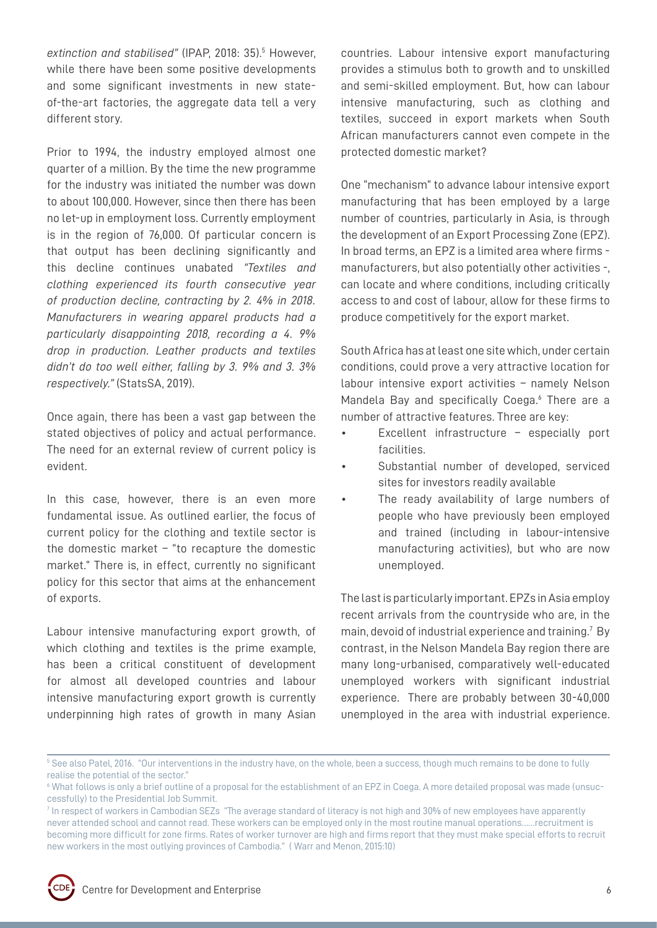extinction and stabilised" (IPAP, 2018: 35).<sup>5</sup> However, while there have been some positive developments and some significant investments in new stateof-the-art factories, the aggregate data tell a very different story.

Prior to 1994, the industry employed almost one quarter of a million. By the time the new programme for the industry was initiated the number was down to about 100,000. However, since then there has been no let-up in employment loss. Currently employment is in the region of 76,000. Of particular concern is that output has been declining significantly and this decline continues unabated *"Textiles and clothing experienced its fourth consecutive year of production decline, contracting by 2. 4% in 2018. Manufacturers in wearing apparel products had a particularly disappointing 2018, recording a 4. 9% drop in production. Leather products and textiles didn't do too well either, falling by 3. 9% and 3. 3% respectively."* (StatsSA, 2019).

Once again, there has been a vast gap between the stated objectives of policy and actual performance. The need for an external review of current policy is evident.

In this case, however, there is an even more fundamental issue. As outlined earlier, the focus of current policy for the clothing and textile sector is the domestic market – "to recapture the domestic market." There is, in effect, currently no significant policy for this sector that aims at the enhancement of exports.

Labour intensive manufacturing export growth, of which clothing and textiles is the prime example, has been a critical constituent of development for almost all developed countries and labour intensive manufacturing export growth is currently underpinning high rates of growth in many Asian

countries. Labour intensive export manufacturing provides a stimulus both to growth and to unskilled and semi-skilled employment. But, how can labour intensive manufacturing, such as clothing and textiles, succeed in export markets when South African manufacturers cannot even compete in the protected domestic market?

One "mechanism" to advance labour intensive export manufacturing that has been employed by a large number of countries, particularly in Asia, is through the development of an Export Processing Zone (EPZ). In broad terms, an EPZ is a limited area where firms manufacturers, but also potentially other activities -, can locate and where conditions, including critically access to and cost of labour, allow for these firms to produce competitively for the export market.

South Africa has at least one site which, under certain conditions, could prove a very attractive location for labour intensive export activities – namely Nelson Mandela Bay and specifically Coega.<sup>6</sup> There are a number of attractive features. Three are key:

- Excellent infrastructure  $-$  especially port facilities.
- Substantial number of developed, serviced sites for investors readily available
- The ready availability of large numbers of people who have previously been employed and trained (including in labour-intensive manufacturing activities), but who are now unemployed.

The last is particularly important. EPZs in Asia employ recent arrivals from the countryside who are, in the main, devoid of industrial experience and training.7 By contrast, in the Nelson Mandela Bay region there are many long-urbanised, comparatively well-educated unemployed workers with significant industrial experience. There are probably between 30-40,000 unemployed in the area with industrial experience.

 $^5$  See also Patel, 2016. "Our interventions in the industry have, on the whole, been a success, though much remains to be done to fully realise the potential of the sector."

<sup>6</sup> What follows is only a brief outline of a proposal for the establishment of an EPZ in Coega. A more detailed proposal was made (unsuccessfully) to the Presidential Job Summit.

<sup>7</sup> In respect of workers in Cambodian SEZs "The average standard of literacy is not high and 30% of new employees have apparently never attended school and cannot read. These workers can be employed only in the most routine manual operations……recruitment is becoming more difficult for zone firms. Rates of worker turnover are high and firms report that they must make special efforts to recruit new workers in the most outlying provinces of Cambodia." ( Warr and Menon, 2015:10)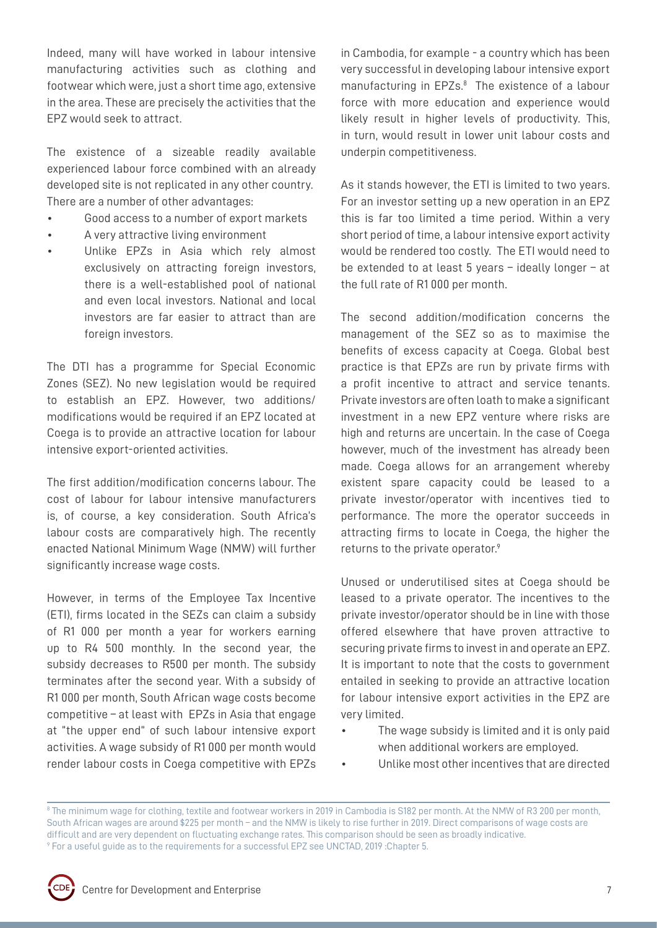Indeed, many will have worked in labour intensive manufacturing activities such as clothing and footwear which were, just a short time ago, extensive in the area. These are precisely the activities that the EPZ would seek to attract.

The existence of a sizeable readily available experienced labour force combined with an already developed site is not replicated in any other country. There are a number of other advantages:

- Good access to a number of export markets
- A very attractive living environment
- Unlike EPZs in Asia which rely almost exclusively on attracting foreign investors, there is a well-established pool of national and even local investors. National and local investors are far easier to attract than are foreign investors.

The DTI has a programme for Special Economic Zones (SEZ). No new legislation would be required to establish an EPZ. However, two additions/ modifications would be required if an EPZ located at Coega is to provide an attractive location for labour intensive export-oriented activities.

The first addition/modification concerns labour. The cost of labour for labour intensive manufacturers is, of course, a key consideration. South Africa's labour costs are comparatively high. The recently enacted National Minimum Wage (NMW) will further significantly increase wage costs.

However, in terms of the Employee Tax Incentive (ETI), firms located in the SEZs can claim a subsidy of R1 000 per month a year for workers earning up to R4 500 monthly. In the second year, the subsidy decreases to R500 per month. The subsidy terminates after the second year. With a subsidy of R1 000 per month, South African wage costs become competitive – at least with EPZs in Asia that engage at "the upper end" of such labour intensive export activities. A wage subsidy of R1 000 per month would render labour costs in Coega competitive with EPZs

in Cambodia, for example - a country which has been very successful in developing labour intensive export manufacturing in EPZs.<sup>8</sup> The existence of a labour force with more education and experience would likely result in higher levels of productivity. This, in turn, would result in lower unit labour costs and underpin competitiveness.

As it stands however, the ETI is limited to two years. For an investor setting up a new operation in an EPZ this is far too limited a time period. Within a very short period of time, a labour intensive export activity would be rendered too costly. The ETI would need to be extended to at least 5 years – ideally longer – at the full rate of R1 000 per month.

The second addition/modification concerns the management of the SEZ so as to maximise the benefits of excess capacity at Coega. Global best practice is that EPZs are run by private firms with a profit incentive to attract and service tenants. Private investors are often loath to make a significant investment in a new EPZ venture where risks are high and returns are uncertain. In the case of Coega however, much of the investment has already been made. Coega allows for an arrangement whereby existent spare capacity could be leased to a private investor/operator with incentives tied to performance. The more the operator succeeds in attracting firms to locate in Coega, the higher the returns to the private operator.9

Unused or underutilised sites at Coega should be leased to a private operator. The incentives to the private investor/operator should be in line with those offered elsewhere that have proven attractive to securing private firms to invest in and operate an EPZ. It is important to note that the costs to government entailed in seeking to provide an attractive location for labour intensive export activities in the EPZ are very limited.

- The wage subsidy is limited and it is only paid when additional workers are employed.
- Unlike most other incentives that are directed

 $^{\circ}$  The minimum wage for clothing, textile and footwear workers in 2019 in Cambodia is S182 per month. At the NMW of R3 200 per month, South African wages are around \$225 per month – and the NMW is likely to rise further in 2019. Direct comparisons of wage costs are difficult and are very dependent on fluctuating exchange rates. This comparison should be seen as broadly indicative. 9 For a useful guide as to the requirements for a successful EPZ see UNCTAD, 2019 :Chapter 5.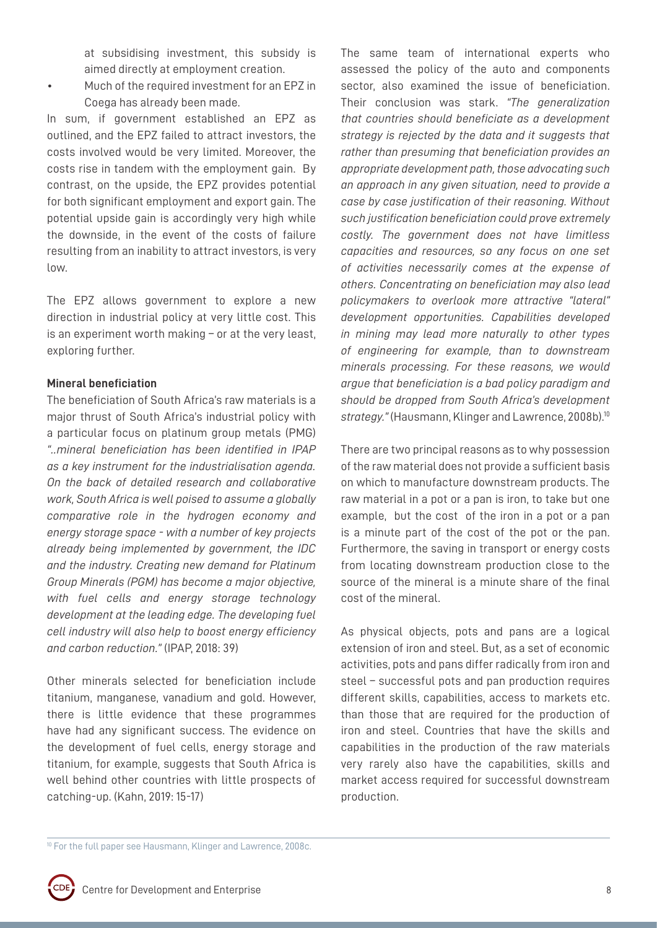at subsidising investment, this subsidy is aimed directly at employment creation.

• Much of the required investment for an EPZ in Coega has already been made.

In sum, if government established an EPZ as outlined, and the EPZ failed to attract investors, the costs involved would be very limited. Moreover, the costs rise in tandem with the employment gain. By contrast, on the upside, the EPZ provides potential for both significant employment and export gain. The potential upside gain is accordingly very high while the downside, in the event of the costs of failure resulting from an inability to attract investors, is very low.

The EPZ allows government to explore a new direction in industrial policy at very little cost. This is an experiment worth making – or at the very least, exploring further.

### **Mineral beneficiation**

The beneficiation of South Africa's raw materials is a major thrust of South Africa's industrial policy with a particular focus on platinum group metals (PMG) *"..mineral beneficiation has been identified in IPAP as a key instrument for the industrialisation agenda. On the back of detailed research and collaborative work, South Africa is well poised to assume a globally comparative role in the hydrogen economy and energy storage space - with a number of key projects already being implemented by government, the IDC and the industry. Creating new demand for Platinum Group Minerals (PGM) has become a major objective, with fuel cells and energy storage technology development at the leading edge. The developing fuel cell industry will also help to boost energy efficiency and carbon reduction."* (IPAP, 2018: 39)

Other minerals selected for beneficiation include titanium, manganese, vanadium and gold. However, there is little evidence that these programmes have had any significant success. The evidence on the development of fuel cells, energy storage and titanium, for example, suggests that South Africa is well behind other countries with little prospects of catching-up. (Kahn, 2019: 15-17)

The same team of international experts who assessed the policy of the auto and components sector, also examined the issue of beneficiation. Their conclusion was stark. *"The generalization that countries should beneficiate as a development strategy is rejected by the data and it suggests that rather than presuming that beneficiation provides an appropriate development path, those advocating such an approach in any given situation, need to provide a case by case justification of their reasoning. Without such justification beneficiation could prove extremely costly. The government does not have limitless capacities and resources, so any focus on one set of activities necessarily comes at the expense of others. Concentrating on beneficiation may also lead policymakers to overlook more attractive "lateral" development opportunities. Capabilities developed in mining may lead more naturally to other types of engineering for example, than to downstream minerals processing. For these reasons, we would argue that beneficiation is a bad policy paradigm and should be dropped from South Africa's development*  strategy." (Hausmann, Klinger and Lawrence, 2008b).<sup>10</sup>

There are two principal reasons as to why possession of the raw material does not provide a sufficient basis on which to manufacture downstream products. The raw material in a pot or a pan is iron, to take but one example, but the cost of the iron in a pot or a pan is a minute part of the cost of the pot or the pan. Furthermore, the saving in transport or energy costs from locating downstream production close to the source of the mineral is a minute share of the final cost of the mineral.

As physical objects, pots and pans are a logical extension of iron and steel. But, as a set of economic activities, pots and pans differ radically from iron and steel – successful pots and pan production requires different skills, capabilities, access to markets etc. than those that are required for the production of iron and steel. Countries that have the skills and capabilities in the production of the raw materials very rarely also have the capabilities, skills and market access required for successful downstream production.

<sup>&</sup>lt;sup>10</sup> For the full paper see Hausmann, Klinger and Lawrence, 2008c.

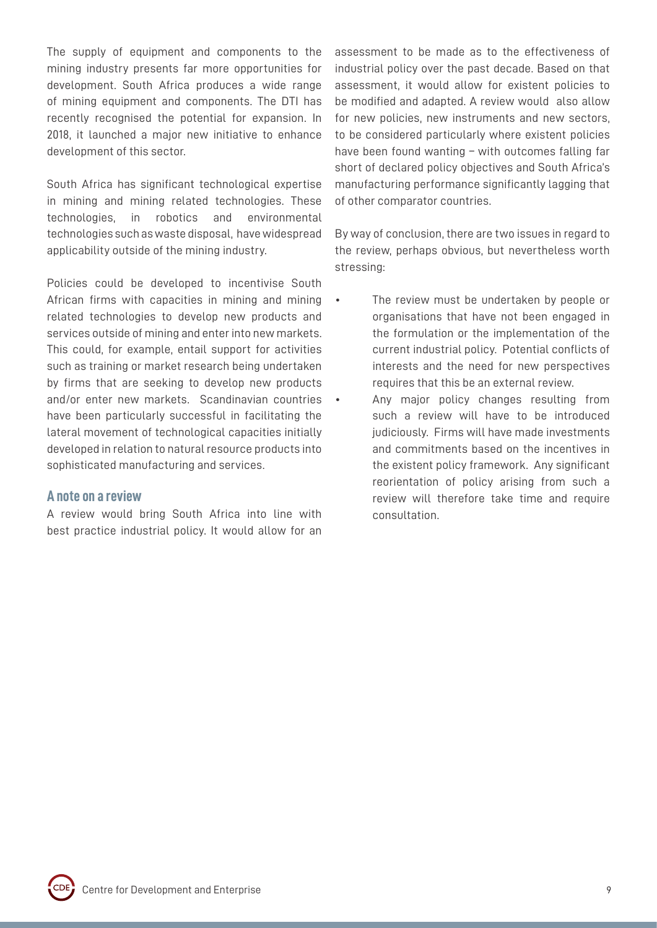The supply of equipment and components to the mining industry presents far more opportunities for development. South Africa produces a wide range of mining equipment and components. The DTI has recently recognised the potential for expansion. In 2018, it launched a major new initiative to enhance development of this sector.

South Africa has significant technological expertise in mining and mining related technologies. These technologies, in robotics and environmental technologies such as waste disposal, have widespread applicability outside of the mining industry.

Policies could be developed to incentivise South African firms with capacities in mining and mining related technologies to develop new products and services outside of mining and enter into new markets. This could, for example, entail support for activities such as training or market research being undertaken by firms that are seeking to develop new products and/or enter new markets. Scandinavian countries have been particularly successful in facilitating the lateral movement of technological capacities initially developed in relation to natural resource products into sophisticated manufacturing and services.

## **A note on a review**

A review would bring South Africa into line with best practice industrial policy. It would allow for an assessment to be made as to the effectiveness of industrial policy over the past decade. Based on that assessment, it would allow for existent policies to be modified and adapted. A review would also allow for new policies, new instruments and new sectors, to be considered particularly where existent policies have been found wanting – with outcomes falling far short of declared policy objectives and South Africa's manufacturing performance significantly lagging that of other comparator countries.

By way of conclusion, there are two issues in regard to the review, perhaps obvious, but nevertheless worth stressing:

- The review must be undertaken by people or organisations that have not been engaged in the formulation or the implementation of the current industrial policy. Potential conflicts of interests and the need for new perspectives requires that this be an external review.
- Any major policy changes resulting from such a review will have to be introduced judiciously. Firms will have made investments and commitments based on the incentives in the existent policy framework. Any significant reorientation of policy arising from such a review will therefore take time and require consultation.